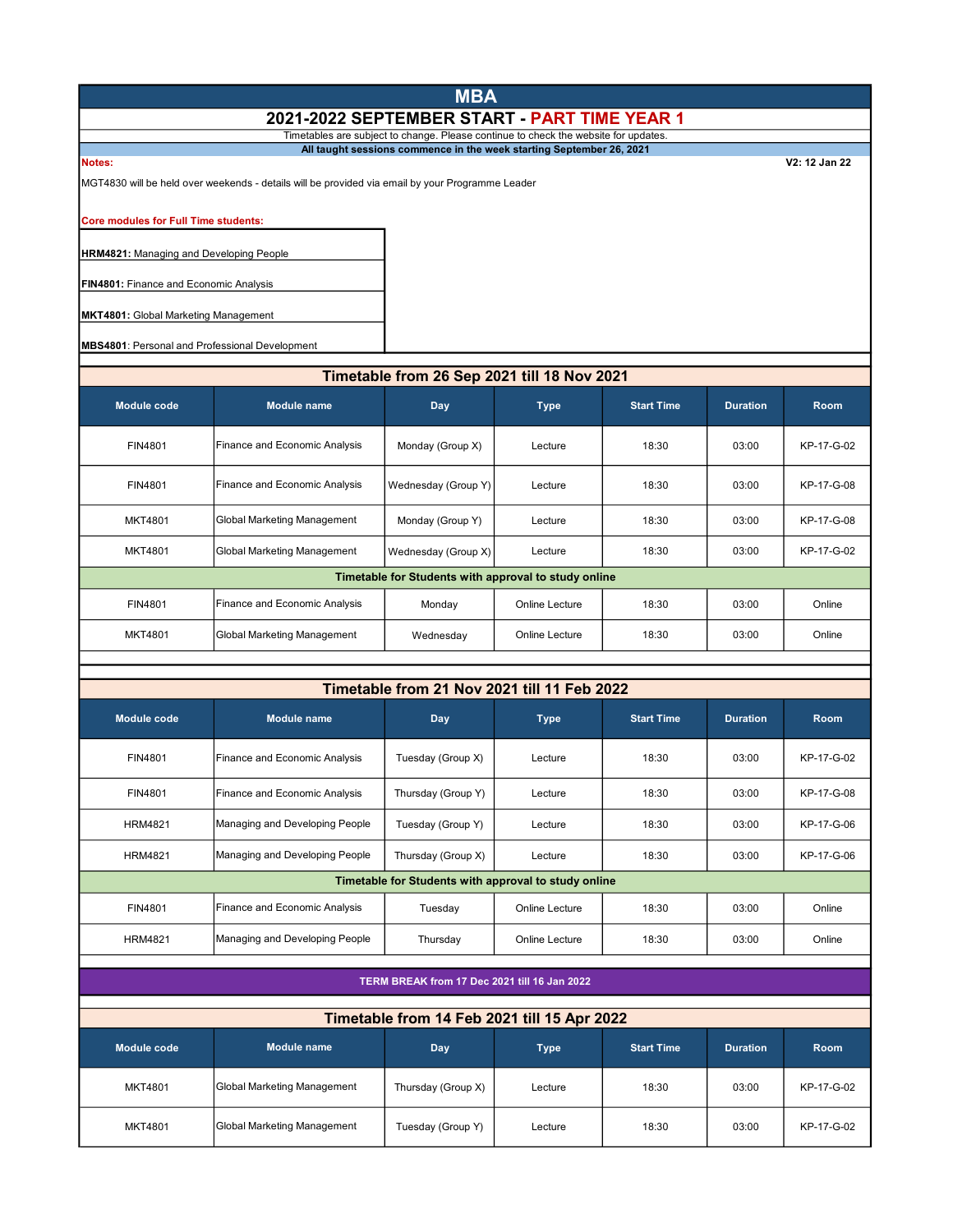# **MBA** 2021-2022 SEPTEMBER START - PART TIME YEAR 1

Timetables are subject to change. Please continue to check the website for updates.

Notes: V2: 12 Jan 22 All taught sessions commence in the week starting September 26, 2021

MGT4830 will be held over weekends - details will be provided via email by your Programme Leader

Core modules for Full Time students:

**HRM4821: Managing and Developing People** 

**FIN4801: Finance and Economic Analysis** 

MKT4801: Global Marketing Management

MBS4801: Personal and Professional Development

### Timetable from 26 Sep 2021 till 18 Nov 2021

| Module code                                          | <b>Module name</b>            | Day                 | <b>Type</b>    | <b>Start Time</b> | <b>Duration</b> | <b>Room</b> |  |
|------------------------------------------------------|-------------------------------|---------------------|----------------|-------------------|-----------------|-------------|--|
| FIN4801                                              | Finance and Economic Analysis | Monday (Group X)    | Lecture        | 18:30             | 03:00           | KP-17-G-02  |  |
| <b>FIN4801</b>                                       | Finance and Economic Analysis | Wednesday (Group Y) | Lecture        | 18:30             | 03:00           | KP-17-G-08  |  |
| <b>MKT4801</b>                                       | Global Marketing Management   | Monday (Group Y)    | Lecture        | 18:30             | 03:00           | KP-17-G-08  |  |
| <b>MKT4801</b>                                       | Global Marketing Management   | Wednesday (Group X) | Lecture        | 18:30             | 03:00           | KP-17-G-02  |  |
| Timetable for Students with approval to study online |                               |                     |                |                   |                 |             |  |
| FIN4801                                              | Finance and Economic Analysis | Monday              | Online Lecture | 18:30             | 03:00           | Online      |  |
| MKT4801                                              | Global Marketing Management   | Wednesday           | Online Lecture | 18:30             | 03:00           | Online      |  |

## Timetable from 21 Nov 2021 till 11 Feb 2022

| Module code                                          | Module name                    | Day                | <b>Type</b>    | <b>Start Time</b> | <b>Duration</b> | <b>Room</b> |  |  |
|------------------------------------------------------|--------------------------------|--------------------|----------------|-------------------|-----------------|-------------|--|--|
| FIN4801                                              | Finance and Economic Analysis  | Tuesday (Group X)  | Lecture        | 18:30             | 03:00           | KP-17-G-02  |  |  |
| FIN4801                                              | Finance and Economic Analysis  | Thursday (Group Y) | Lecture        | 18:30             | 03:00           | KP-17-G-08  |  |  |
| <b>HRM4821</b>                                       | Managing and Developing People | Tuesday (Group Y)  | Lecture        | 18:30             | 03:00           | KP-17-G-06  |  |  |
| <b>HRM4821</b>                                       | Managing and Developing People | Thursday (Group X) | Lecture        | 18:30             | 03:00           | KP-17-G-06  |  |  |
| Timetable for Students with approval to study online |                                |                    |                |                   |                 |             |  |  |
| FIN4801                                              | Finance and Economic Analysis  | Tuesday            | Online Lecture | 18:30             | 03:00           | Online      |  |  |
| <b>HRM4821</b>                                       | Managing and Developing People | Thursday           | Online Lecture | 18:30             | 03:00           | Online      |  |  |

#### TERM BREAK from 17 Dec 2021 till 16 Jan 2022

| Module code    | <b>Module name</b>          | Day                | <b>Type</b> | <b>Start Time</b> | <b>Duration</b> | <b>Room</b> |
|----------------|-----------------------------|--------------------|-------------|-------------------|-----------------|-------------|
| <b>MKT4801</b> | Global Marketing Management | Thursday (Group X) | Lecture     | 18:30             | 03:00           | KP-17-G-02  |
| <b>MKT4801</b> | Global Marketing Management | Tuesday (Group Y)  | Lecture     | 18:30             | 03:00           | KP-17-G-02  |